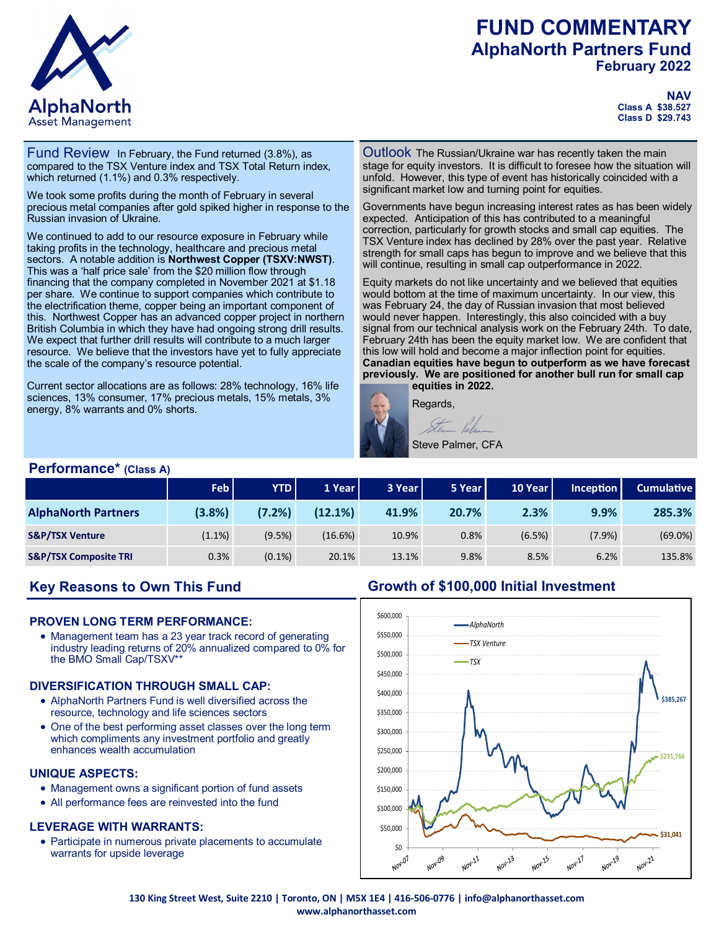# **FUND COMMENTARY AlphaNorth Partners Fund February 2022**



#### **NAV Class A \$38.527 Class D \$29.743**

Fund Review In February, the Fund returned (3.8%), as compared to the TSX Venture index and TSX Total Return index, which returned (1.1%) and 0.3% respectively.

We took some profits during the month of February in several precious metal companies after gold spiked higher in response to the Russian invasion of Ukraine.

We continued to add to our resource exposure in February while taking profits in the technology, healthcare and precious metal sectors. A notable addition is **Northwest Copper (TSXV:NWST)**. This was a 'half price sale' from the \$20 million flow through financing that the company completed in November 2021 at \$1.18 per share. We continue to support companies which contribute to the electrification theme, copper being an important component of this. Northwest Copper has an advanced copper project in northern British Columbia in which they have had ongoing strong drill results. We expect that further drill results will contribute to a much larger resource. We believe that the investors have yet to fully appreciate the scale of the company's resource potential.

Current sector allocations are as follows: 28% technology, 16% life sciences, 13% consumer, 17% precious metals, 15% metals, 3% energy, 8% warrants and 0% shorts.

Outlook The Russian/Ukraine war has recently taken the main stage for equity investors. It is difficult to foresee how the situation will unfold. However, this type of event has historically coincided with a significant market low and turning point for equities.

Governments have begun increasing interest rates as has been widely expected. Anticipation of this has contributed to a meaningful correction, particularly for growth stocks and small cap equities. The TSX Venture index has declined by 28% over the past year. Relative strength for small caps has begun to improve and we believe that this will continue, resulting in small cap outperformance in 2022.

Equity markets do not like uncertainty and we believed that equities would bottom at the time of maximum uncertainty. In our view, this was February 24, the day of Russian invasion that most believed would never happen. Interestingly, this also coincided with a buy signal from our technical analysis work on the February 24th. To date, February 24th has been the equity market low. We are confident that this low will hold and become a major inflection point for equities. **Canadian equities have begun to outperform as we have forecast previously. We are positioned for another bull run for small cap equities in 2022.** 



### **Performance\* (Class A)**

|                                  | <b>Feb</b> | <b>YTD</b> | 1 Year     | 3 Year | 5 Year | 10 Year | $Inc$ eption | <b>Cumulative</b> |
|----------------------------------|------------|------------|------------|--------|--------|---------|--------------|-------------------|
| <b>AlphaNorth Partners</b>       | (3.8%)     | (7.2%)     | $(12.1\%)$ | 41.9%  | 20.7%  | 2.3%    | 9.9%         | 285.3%            |
| <b>S&amp;P/TSX Venture</b>       | $(1.1\%)$  | (9.5%)     | (16.6%)    | 10.9%  | 0.8%   | (6.5%)  | (7.9%)       | $(69.0\%)$        |
| <b>S&amp;P/TSX Composite TRI</b> | 0.3%       | $(0.1\%)$  | 20.1%      | 13.1%  | 9.8%   | 8.5%    | 6.2%         | 135.8%            |

# **Key Reasons to Own This Fund**

### **PROVEN LONG TERM PERFORMANCE:**

• Management team has a 23 year track record of generating industry leading returns of 20% annualized compared to 0% for the BMO Small Cap/TSXV\*\*

### **DIVERSIFICATION THROUGH SMALL CAP:**

- AlphaNorth Partners Fund is well diversified across the resource, technology and life sciences sectors
- One of the best performing asset classes over the long term which compliments any investment portfolio and greatly enhances wealth accumulation

#### **UNIQUE ASPECTS:**

- Management owns a significant portion of fund assets
- All performance fees are reinvested into the fund

### **LEVERAGE WITH WARRANTS:**

• Participate in numerous private placements to accumulate warrants for upside leverage

### **Growth of \$100,000 Initial Investment**



**130 King Street West, Suite 2210 | Toronto, ON | M5X 1E4 | 416-506-0776 | info@alphanorthasset.com www.alphanorthasset.com**